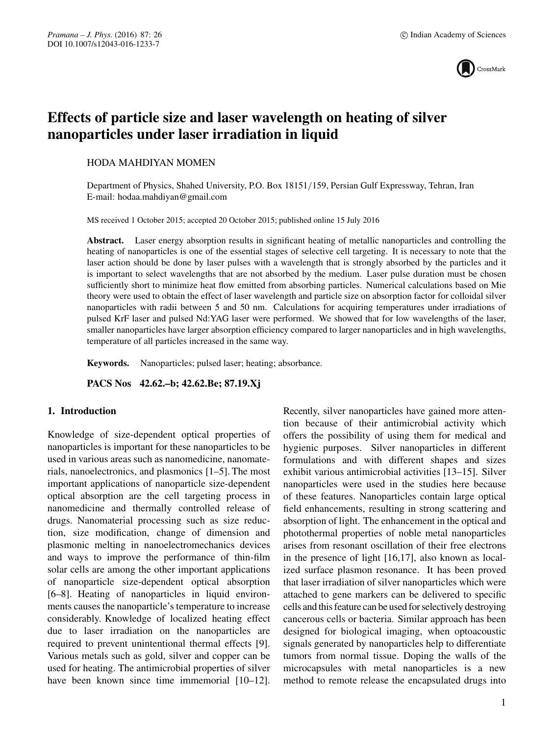

# **Effects of particle size and laser wavelength on heating of silver nanoparticles under laser irradiation in liquid**

# HODA MAHDIYAN MOMEN

Department of Physics, Shahed University, P.O. Box 18151/159, Persian Gulf Expressway, Tehran, Iran E-mail: hodaa.mahdiyan@gmail.com

MS received 1 October 2015; accepted 20 October 2015; published online 15 July 2016

**Abstract.** Laser energy absorption results in significant heating of metallic nanoparticles and controlling the heating of nanoparticles is one of the essential stages of selective cell targeting. It is necessary to note that the laser action should be done by laser pulses with a wavelength that is strongly absorbed by the particles and it is important to select wavelengths that are not absorbed by the medium. Laser pulse duration must be chosen sufficiently short to minimize heat flow emitted from absorbing particles. Numerical calculations based on Mie theory were used to obtain the effect of laser wavelength and particle size on absorption factor for colloidal silver nanoparticles with radii between 5 and 50 nm. Calculations for acquiring temperatures under irradiations of pulsed KrF laser and pulsed Nd:YAG laser were performed. We showed that for low wavelengths of the laser, smaller nanoparticles have larger absorption efficiency compared to larger nanoparticles and in high wavelengths, temperature of all particles increased in the same way.

**Keywords.** Nanoparticles; pulsed laser; heating; absorbance.

**PACS Nos 42.62.–b; 42.62.Be; 87.19.Xj**

# **1. Introduction**

Knowledge of size-dependent optical properties of nanoparticles is important for these nanoparticles to be used in various areas such as nanomedicine, nanomaterials, nanoelectronics, and plasmonics [1–5]. The most important applications of nanoparticle size-dependent optical absorption are the cell targeting process in nanomedicine and thermally controlled release of drugs. Nanomaterial processing such as size reduction, size modification, change of dimension and plasmonic melting in nanoelectromechanics devices and ways to improve the performance of thin-film solar cells are among the other important applications of nanoparticle size-dependent optical absorption [6–8]. Heating of nanoparticles in liquid environments causes the nanoparticle's temperature to increase considerably. Knowledge of localized heating effect due to laser irradiation on the nanoparticles are required to prevent unintentional thermal effects [9]. Various metals such as gold, silver and copper can be used for heating. The antimicrobial properties of silver have been known since time immemorial [10–12]. Recently, silver nanoparticles have gained more attention because of their antimicrobial activity which offers the possibility of using them for medical and hygienic purposes. Silver nanoparticles in different formulations and with different shapes and sizes exhibit various antimicrobial activities [13–15]. Silver nanoparticles were used in the studies here because of these features. Nanoparticles contain large optical field enhancements, resulting in strong scattering and absorption of light. The enhancement in the optical and photothermal properties of noble metal nanoparticles arises from resonant oscillation of their free electrons in the presence of light [16,17], also known as localized surface plasmon resonance. It has been proved that laser irradiation of silver nanoparticles which were attached to gene markers can be delivered to specific cells and this feature can be used for selectively destroying cancerous cells or bacteria. Similar approach has been designed for biological imaging, when optoacoustic signals generated by nanoparticles help to differentiate tumors from normal tissue. Doping the walls of the microcapsules with metal nanoparticles is a new method to remote release the encapsulated drugs into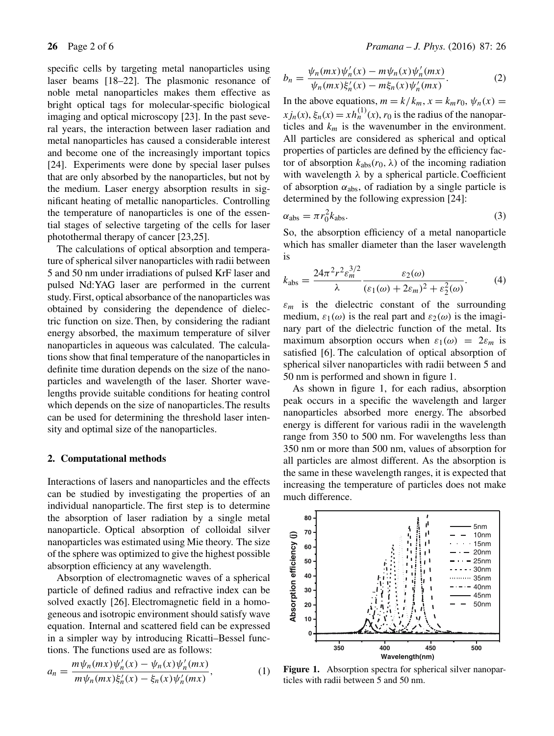specific cells by targeting metal nanoparticles using laser beams [18–22]. The plasmonic resonance of noble metal nanoparticles makes them effective as bright optical tags for molecular-specific biological imaging and optical microscopy [23]. In the past several years, the interaction between laser radiation and metal nanoparticles has caused a considerable interest and become one of the increasingly important topics [24]. Experiments were done by special laser pulses that are only absorbed by the nanoparticles, but not by the medium. Laser energy absorption results in significant heating of metallic nanoparticles. Controlling the temperature of nanoparticles is one of the essential stages of selective targeting of the cells for laser photothermal therapy of cancer [23,25].

The calculations of optical absorption and temperature of spherical silver nanoparticles with radii between 5 and 50 nm under irradiations of pulsed KrF laser and pulsed Nd:YAG laser are performed in the current study. First, optical absorbance of the nanoparticles was obtained by considering the dependence of dielectric function on size. Then, by considering the radiant energy absorbed, the maximum temperature of silver nanoparticles in aqueous was calculated. The calculations show that final temperature of the nanoparticles in definite time duration depends on the size of the nanoparticles and wavelength of the laser. Shorter wavelengths provide suitable conditions for heating control which depends on the size of nanoparticles.The results can be used for determining the threshold laser intensity and optimal size of the nanoparticles.

#### **2. Computational methods**

Interactions of lasers and nanoparticles and the effects can be studied by investigating the properties of an individual nanoparticle. The first step is to determine the absorption of laser radiation by a single metal nanoparticle. Optical absorption of colloidal silver nanoparticles was estimated using Mie theory. The size of the sphere was optimized to give the highest possible absorption efficiency at any wavelength.

Absorption of electromagnetic waves of a spherical particle of defined radius and refractive index can be solved exactly [26]. Electromagnetic field in a homogeneous and isotropic environment should satisfy wave equation. Internal and scattered field can be expressed in a simpler way by introducing Ricatti–Bessel functions. The functions used are as follows:

$$
a_n = \frac{m\psi_n(mx)\psi'_n(x) - \psi_n(x)\psi'_n(mx)}{m\psi_n(mx)\xi'_n(x) - \xi_n(x)\psi'_n(mx)},
$$
 (1)

$$
b_n = \frac{\psi_n(mx)\psi'_n(x) - m\psi_n(x)\psi'_n(mx)}{\psi_n(mx)\xi'_n(x) - m\xi_n(x)\psi'_n(mx)}.
$$
 (2)

In the above equations,  $m = k/k_m$ ,  $x = k_m r_0$ ,  $\psi_n(x) =$  $xj_n(x)$ ,  $\xi_n(x) = xh_n^{(1)}(x)$ ,  $r_0$  is the radius of the nanoparticles and  $k_m$  is the wavenumber in the environment. All particles are considered as spherical and optical properties of particles are defined by the efficiency factor of absorption  $k_{\text{abs}}(r_0, \lambda)$  of the incoming radiation with wavelength  $\lambda$  by a spherical particle. Coefficient of absorption  $\alpha_{\text{abs}}$ , of radiation by a single particle is determined by the following expression [24]:

$$
\alpha_{\rm abs} = \pi r_0^2 k_{\rm abs}.\tag{3}
$$

So, the absorption efficiency of a metal nanoparticle which has smaller diameter than the laser wavelength is

$$
k_{\rm abs} = \frac{24\pi^2 r^2 \varepsilon_m^{3/2}}{\lambda} \frac{\varepsilon_2(\omega)}{(\varepsilon_1(\omega) + 2\varepsilon_m)^2 + \varepsilon_2^2(\omega)}.
$$
 (4)

 $\varepsilon_m$  is the dielectric constant of the surrounding medium,  $\varepsilon_1(\omega)$  is the real part and  $\varepsilon_2(\omega)$  is the imaginary part of the dielectric function of the metal. Its maximum absorption occurs when  $\varepsilon_1(\omega) = 2\varepsilon_m$  is satisfied [6]. The calculation of optical absorption of spherical silver nanoparticles with radii between 5 and 50 nm is performed and shown in figure 1.

As shown in figure 1, for each radius, absorption peak occurs in a specific the wavelength and larger nanoparticles absorbed more energy. The absorbed energy is different for various radii in the wavelength range from 350 to 500 nm. For wavelengths less than 350 nm or more than 500 nm, values of absorption for all particles are almost different. As the absorption is the same in these wavelength ranges, it is expected that increasing the temperature of particles does not make much difference.



Figure 1. Absorption spectra for spherical silver nanoparticles with radii between 5 and 50 nm.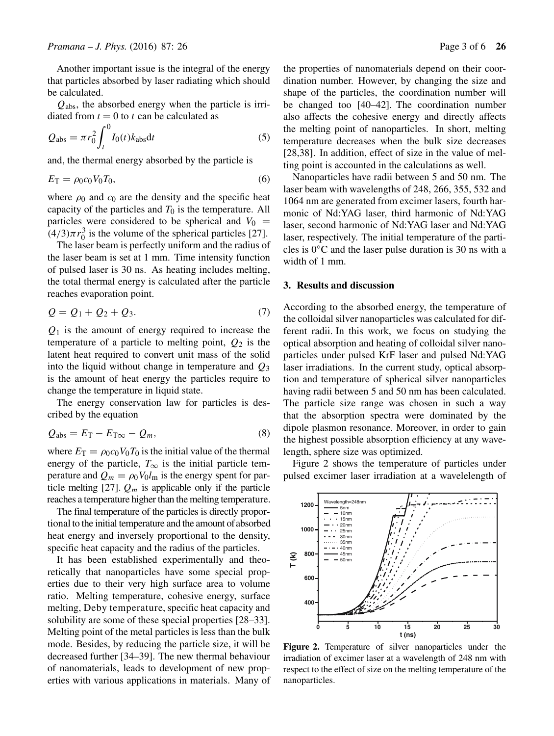Another important issue is the integral of the energy that particles absorbed by laser radiating which should be calculated.

 $Q_{\rm abs}$ , the absorbed energy when the particle is irridiated from  $t = 0$  to t can be calculated as

$$
Q_{\text{abs}} = \pi r_0^2 \int_t^0 I_0(t) k_{\text{abs}} \text{d}t \tag{5}
$$

and, the thermal energy absorbed by the particle is

$$
E_{\rm T} = \rho_0 c_0 V_0 T_0,\tag{6}
$$

where  $\rho_0$  and  $c_0$  are the density and the specific heat capacity of the particles and  $T_0$  is the temperature. All particles were considered to be spherical and  $V_0$  =  $(4/3)\pi r_0^3$  is the volume of the spherical particles [27].

The laser beam is perfectly uniform and the radius of the laser beam is set at 1 mm. Time intensity function of pulsed laser is 30 ns. As heating includes melting, the total thermal energy is calculated after the particle reaches evaporation point.

$$
Q = Q_1 + Q_2 + Q_3. \tag{7}
$$

 $Q_1$  is the amount of energy required to increase the temperature of a particle to melting point,  $Q_2$  is the latent heat required to convert unit mass of the solid into the liquid without change in temperature and  $Q_3$ is the amount of heat energy the particles require to change the temperature in liquid state.

The energy conservation law for particles is described by the equation

$$
Q_{\text{abs}} = E_{\text{T}} - E_{\text{T}\infty} - Q_m,\tag{8}
$$

where  $E_T = \rho_0 c_0 V_0 T_0$  is the initial value of the thermal energy of the particle,  $T_{\infty}$  is the initial particle temperature and  $Q_m = \rho_0 V_0 l_m$  is the energy spent for particle melting [27].  $Q_m$  is applicable only if the particle reaches a temperature higher than the melting temperature.

The final temperature of the particles is directly proportional to the initial temperature and the amount of absorbed heat energy and inversely proportional to the density, specific heat capacity and the radius of the particles.

It has been established experimentally and theoretically that nanoparticles have some special properties due to their very high surface area to volume ratio. Melting temperature, cohesive energy, surface melting, Deby temperature, specific heat capacity and solubility are some of these special properties [28–33]. Melting point of the metal particles is less than the bulk mode. Besides, by reducing the particle size, it will be decreased further [34–39]. The new thermal behaviour of nanomaterials, leads to development of new properties with various applications in materials. Many of the properties of nanomaterials depend on their coordination number. However, by changing the size and shape of the particles, the coordination number will be changed too [40–42]. The coordination number also affects the cohesive energy and directly affects the melting point of nanoparticles. In short, melting temperature decreases when the bulk size decreases [28,38]. In addition, effect of size in the value of melting point is accounted in the calculations as well.

Nanoparticles have radii between 5 and 50 nm. The laser beam with wavelengths of 248, 266, 355, 532 and 1064 nm are generated from excimer lasers, fourth harmonic of Nd:YAG laser, third harmonic of Nd:YAG laser, second harmonic of Nd:YAG laser and Nd:YAG laser, respectively. The initial temperature of the particles is  $0^{\circ}$ C and the laser pulse duration is 30 ns with a width of 1 mm.

## **3. Results and discussion**

According to the absorbed energy, the temperature of the colloidal silver nanoparticles was calculated for different radii. In this work, we focus on studying the optical absorption and heating of colloidal silver nanoparticles under pulsed KrF laser and pulsed Nd:YAG laser irradiations. In the current study, optical absorption and temperature of spherical silver nanoparticles having radii between 5 and 50 nm has been calculated. The particle size range was chosen in such a way that the absorption spectra were dominated by the dipole plasmon resonance. Moreover, in order to gain the highest possible absorption efficiency at any wavelength, sphere size was optimized.

Figure 2 shows the temperature of particles under pulsed excimer laser irradiation at a wavelelength of



**Figure 2.** Temperature of silver nanoparticles under the irradiation of excimer laser at a wavelength of 248 nm with respect to the effect of size on the melting temperature of the nanoparticles.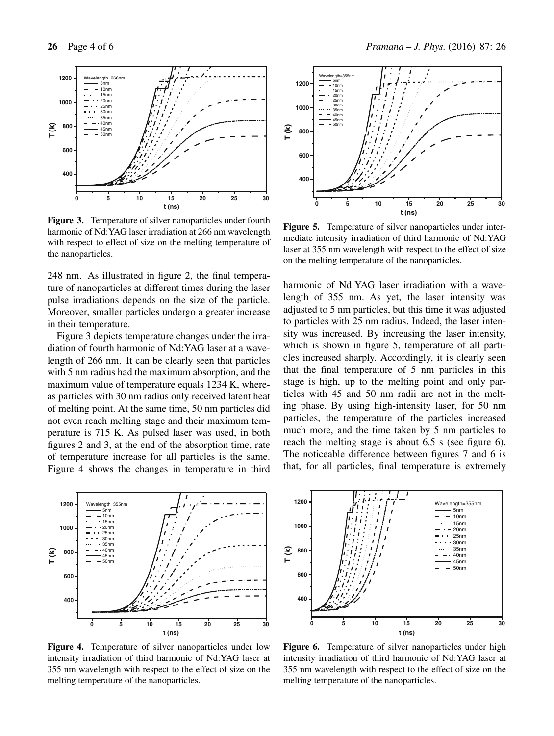

**Figure 3.** Temperature of silver nanoparticles under fourth harmonic of Nd:YAG laser irradiation at 266 nm wavelength with respect to effect of size on the melting temperature of the nanoparticles.

248 nm. As illustrated in figure 2, the final temperature of nanoparticles at different times during the laser pulse irradiations depends on the size of the particle. Moreover, smaller particles undergo a greater increase in their temperature.

Figure 3 depicts temperature changes under the irradiation of fourth harmonic of Nd:YAG laser at a wavelength of 266 nm. It can be clearly seen that particles with 5 nm radius had the maximum absorption, and the maximum value of temperature equals 1234 K, whereas particles with 30 nm radius only received latent heat of melting point. At the same time, 50 nm particles did not even reach melting stage and their maximum temperature is 715 K. As pulsed laser was used, in both figures 2 and 3, at the end of the absorption time, rate of temperature increase for all particles is the same. Figure 4 shows the changes in temperature in third



**Figure 4.** Temperature of silver nanoparticles under low intensity irradiation of third harmonic of Nd:YAG laser at 355 nm wavelength with respect to the effect of size on the melting temperature of the nanoparticles.



**Figure 5.** Temperature of silver nanoparticles under intermediate intensity irradiation of third harmonic of Nd:YAG laser at 355 nm wavelength with respect to the effect of size on the melting temperature of the nanoparticles.

harmonic of Nd:YAG laser irradiation with a wavelength of 355 nm. As yet, the laser intensity was adjusted to 5 nm particles, but this time it was adjusted to particles with 25 nm radius. Indeed, the laser intensity was increased. By increasing the laser intensity, which is shown in figure 5, temperature of all particles increased sharply. Accordingly, it is clearly seen that the final temperature of 5 nm particles in this stage is high, up to the melting point and only particles with 45 and 50 nm radii are not in the melting phase. By using high-intensity laser, for 50 nm particles, the temperature of the particles increased much more, and the time taken by 5 nm particles to reach the melting stage is about 6.5 s (see figure 6). The noticeable difference between figures 7 and 6 is that, for all particles, final temperature is extremely



**Figure 6.** Temperature of silver nanoparticles under high intensity irradiation of third harmonic of Nd:YAG laser at 355 nm wavelength with respect to the effect of size on the melting temperature of the nanoparticles.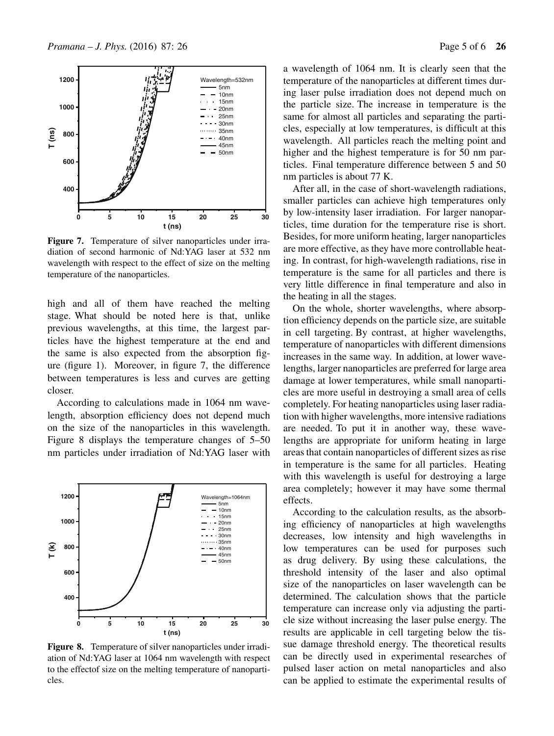

**Figure 7.** Temperature of silver nanoparticles under irradiation of second harmonic of Nd:YAG laser at 532 nm wavelength with respect to the effect of size on the melting temperature of the nanoparticles.

high and all of them have reached the melting stage. What should be noted here is that, unlike previous wavelengths, at this time, the largest particles have the highest temperature at the end and the same is also expected from the absorption figure (figure 1). Moreover, in figure 7, the difference between temperatures is less and curves are getting closer.

According to calculations made in 1064 nm wavelength, absorption efficiency does not depend much on the size of the nanoparticles in this wavelength. Figure 8 displays the temperature changes of 5–50 nm particles under irradiation of Nd:YAG laser with



**Figure 8.** Temperature of silver nanoparticles under irradiation of Nd:YAG laser at 1064 nm wavelength with respect to the effectof size on the melting temperature of nanoparticles.

a wavelength of 1064 nm. It is clearly seen that the temperature of the nanoparticles at different times during laser pulse irradiation does not depend much on the particle size. The increase in temperature is the same for almost all particles and separating the particles, especially at low temperatures, is difficult at this wavelength. All particles reach the melting point and higher and the highest temperature is for 50 nm particles. Final temperature difference between 5 and 50 nm particles is about 77 K.

After all, in the case of short-wavelength radiations, smaller particles can achieve high temperatures only by low-intensity laser irradiation. For larger nanoparticles, time duration for the temperature rise is short. Besides, for more uniform heating, larger nanoparticles are more effective, as they have more controllable heating. In contrast, for high-wavelength radiations, rise in temperature is the same for all particles and there is very little difference in final temperature and also in the heating in all the stages.

On the whole, shorter wavelengths, where absorption efficiency depends on the particle size, are suitable in cell targeting. By contrast, at higher wavelengths, temperature of nanoparticles with different dimensions increases in the same way. In addition, at lower wavelengths, larger nanoparticles are preferred for large area damage at lower temperatures, while small nanoparticles are more useful in destroying a small area of cells completely. For heating nanoparticles using laser radiation with higher wavelengths, more intensive radiations are needed. To put it in another way, these wavelengths are appropriate for uniform heating in large areas that contain nanoparticles of different sizes as rise in temperature is the same for all particles. Heating with this wavelength is useful for destroying a large area completely; however it may have some thermal effects.

According to the calculation results, as the absorbing efficiency of nanoparticles at high wavelengths decreases, low intensity and high wavelengths in low temperatures can be used for purposes such as drug delivery. By using these calculations, the threshold intensity of the laser and also optimal size of the nanoparticles on laser wavelength can be determined. The calculation shows that the particle temperature can increase only via adjusting the particle size without increasing the laser pulse energy. The results are applicable in cell targeting below the tissue damage threshold energy. The theoretical results can be directly used in experimental researches of pulsed laser action on metal nanoparticles and also can be applied to estimate the experimental results of